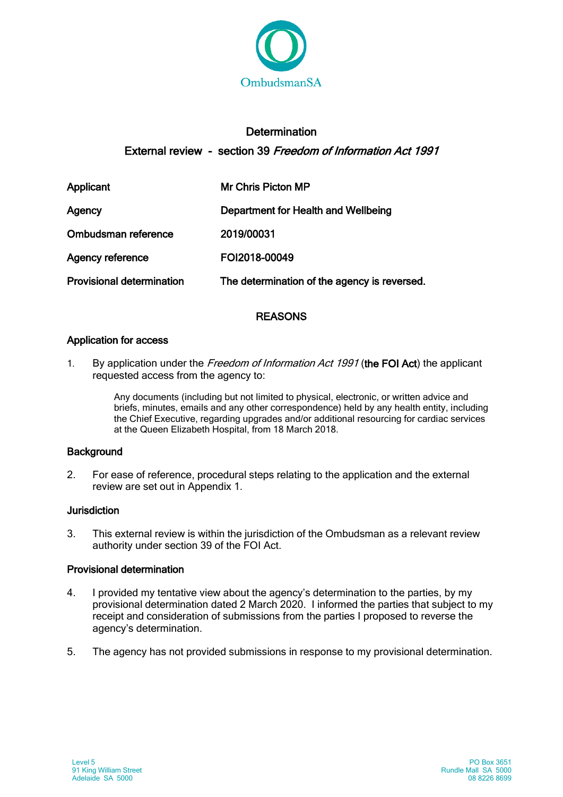

# **Determination** External review - section 39 Freedom of Information Act 1991

| Applicant                        | <b>Mr Chris Picton MP</b>                    |
|----------------------------------|----------------------------------------------|
| Agency                           | Department for Health and Wellbeing          |
| Ombudsman reference              | 2019/00031                                   |
| Agency reference                 | FOI2018-00049                                |
| <b>Provisional determination</b> | The determination of the agency is reversed. |

## **REASONS**

### Application for access

1. By application under the Freedom of Information Act 1991 (the FOI Act) the applicant requested access from the agency to:

> Any documents (including but not limited to physical, electronic, or written advice and briefs, minutes, emails and any other correspondence) held by any health entity, including the Chief Executive, regarding upgrades and/or additional resourcing for cardiac services at the Queen Elizabeth Hospital, from 18 March 2018.

### **Background**

2. For ease of reference, procedural steps relating to the application and the external review are set out in Appendix 1.

#### Jurisdiction

3. This external review is within the jurisdiction of the Ombudsman as a relevant review authority under section 39 of the FOI Act.

#### Provisional determination

- 4. I provided my tentative view about the agency's determination to the parties, by my provisional determination dated 2 March 2020. I informed the parties that subject to my receipt and consideration of submissions from the parties I proposed to reverse the agency's determination.
- 5. The agency has not provided submissions in response to my provisional determination.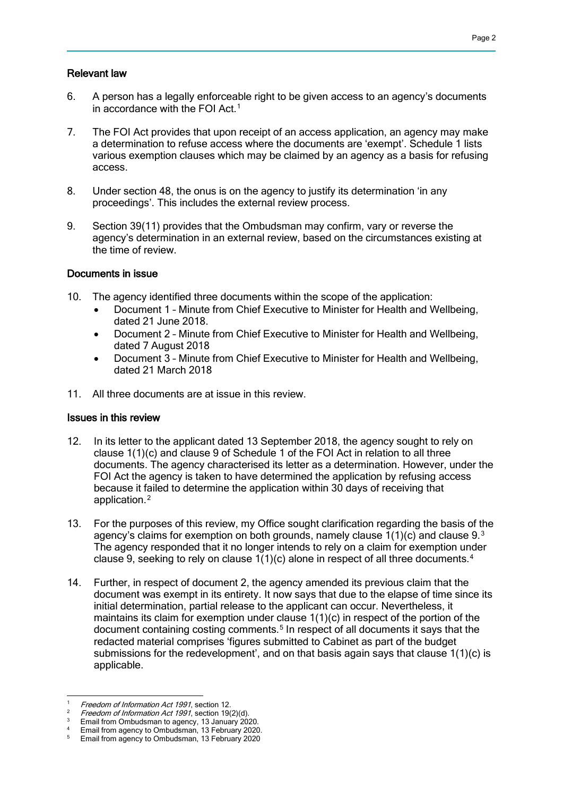#### Relevant law

- 6. A person has a legally enforceable right to be given access to an agency's documents in accordance with the FOI Act.[1](#page-1-0)
- 7. The FOI Act provides that upon receipt of an access application, an agency may make a determination to refuse access where the documents are 'exempt'. Schedule 1 lists various exemption clauses which may be claimed by an agency as a basis for refusing access.
- 8. Under section 48, the onus is on the agency to justify its determination 'in any proceedings'. This includes the external review process.
- 9. Section 39(11) provides that the Ombudsman may confirm, vary or reverse the agency's determination in an external review, based on the circumstances existing at the time of review.

#### Documents in issue

- 10. The agency identified three documents within the scope of the application:
	- Document 1 Minute from Chief Executive to Minister for Health and Wellbeing, dated 21 June 2018.
	- Document 2 Minute from Chief Executive to Minister for Health and Wellbeing, dated 7 August 2018
	- Document 3 Minute from Chief Executive to Minister for Health and Wellbeing, dated 21 March 2018
- 11. All three documents are at issue in this review.

#### Issues in this review

- 12. In its letter to the applicant dated 13 September 2018, the agency sought to rely on clause 1(1)(c) and clause 9 of Schedule 1 of the FOI Act in relation to all three documents. The agency characterised its letter as a determination. However, under the FOI Act the agency is taken to have determined the application by refusing access because it failed to determine the application within 30 days of receiving that application.[2](#page-1-1)
- 13. For the purposes of this review, my Office sought clarification regarding the basis of the agency's claims for exemption on both grounds, namely clause  $1(1)(c)$  and clause 9. $3$ The agency responded that it no longer intends to rely on a claim for exemption under clause 9, seeking to rely on clause 1(1)(c) alone in respect of all three documents.[4](#page-1-3)
- 14. Further, in respect of document 2, the agency amended its previous claim that the document was exempt in its entirety. It now says that due to the elapse of time since its initial determination, partial release to the applicant can occur. Nevertheless, it maintains its claim for exemption under clause  $1(1)(c)$  in respect of the portion of the document containing costing comments.<sup>[5](#page-1-4)</sup> In respect of all documents it says that the redacted material comprises 'figures submitted to Cabinet as part of the budget submissions for the redevelopment', and on that basis again says that clause  $1(1)(c)$  is applicable.

<span id="page-1-0"></span><sup>-</sup><sup>1</sup> Freedom of Information Act 1991, section 12.

<span id="page-1-1"></span>Freedom of Information Act 1991, section 19(2)(d).

<sup>&</sup>lt;sup>3</sup> Email from Ombudsman to agency, 13 January 2020.

<span id="page-1-4"></span><span id="page-1-3"></span><span id="page-1-2"></span><sup>&</sup>lt;sup>4</sup> Email from agency to Ombudsman, 13 February 2020. <sup>5</sup> Email from agency to Ombudsman, 13 February 2020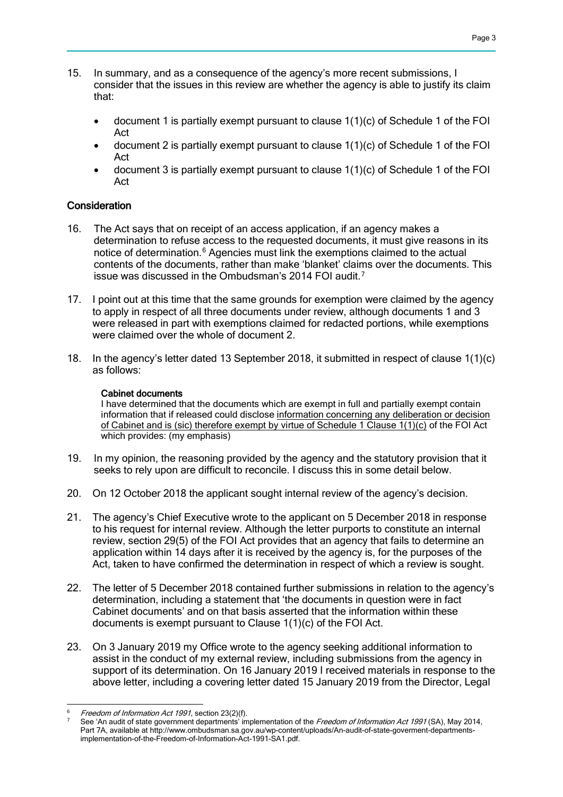- 15. In summary, and as a consequence of the agency's more recent submissions, I consider that the issues in this review are whether the agency is able to justify its claim that:
	- $\bullet$  document 1 is partially exempt pursuant to clause  $1(1)(c)$  of Schedule 1 of the FOI Act
	- document 2 is partially exempt pursuant to clause 1(1)(c) of Schedule 1 of the FOI Act
	- document 3 is partially exempt pursuant to clause 1(1)(c) of Schedule 1 of the FOI Act

#### **Consideration**

- 16. The Act says that on receipt of an access application, if an agency makes a determination to refuse access to the requested documents, it must give reasons in its notice of determination.<sup>[6](#page-2-0)</sup> Agencies must link the exemptions claimed to the actual contents of the documents, rather than make 'blanket' claims over the documents. This issue was discussed in the Ombudsman's 2014 FOI audit.[7](#page-2-1)
- 17. I point out at this time that the same grounds for exemption were claimed by the agency to apply in respect of all three documents under review, although documents 1 and 3 were released in part with exemptions claimed for redacted portions, while exemptions were claimed over the whole of document 2.
- 18. In the agency's letter dated 13 September 2018, it submitted in respect of clause 1(1)(c) as follows:

#### Cabinet documents

I have determined that the documents which are exempt in full and partially exempt contain information that if released could disclose information concerning any deliberation or decision of Cabinet and is (sic) therefore exempt by virtue of Schedule 1 Clause 1(1)(c) of the FOI Act which provides: (my emphasis)

- 19. In my opinion, the reasoning provided by the agency and the statutory provision that it seeks to rely upon are difficult to reconcile. I discuss this in some detail below.
- 20. On 12 October 2018 the applicant sought internal review of the agency's decision.
- 21. The agency's Chief Executive wrote to the applicant on 5 December 2018 in response to his request for internal review. Although the letter purports to constitute an internal review, section 29(5) of the FOI Act provides that an agency that fails to determine an application within 14 days after it is received by the agency is, for the purposes of the Act, taken to have confirmed the determination in respect of which a review is sought.
- 22. The letter of 5 December 2018 contained further submissions in relation to the agency's determination, including a statement that 'the documents in question were in fact Cabinet documents' and on that basis asserted that the information within these documents is exempt pursuant to Clause 1(1)(c) of the FOI Act.
- 23. On 3 January 2019 my Office wrote to the agency seeking additional information to assist in the conduct of my external review, including submissions from the agency in support of its determination. On 16 January 2019 I received materials in response to the above letter, including a covering letter dated 15 January 2019 from the Director, Legal

<sup>-</sup>Freedom of Information Act 1991, section 23(2)(f).

<span id="page-2-1"></span><span id="page-2-0"></span>See 'An audit of state government departments' implementation of the Freedom of Information Act 1991 (SA), May 2014, Part 7A, available at http://www.ombudsman.sa.gov.au/wp-content/uploads/An-audit-of-state-goverment-departmentsimplementation-of-the-Freedom-of-Information-Act-1991-SA1.pdf.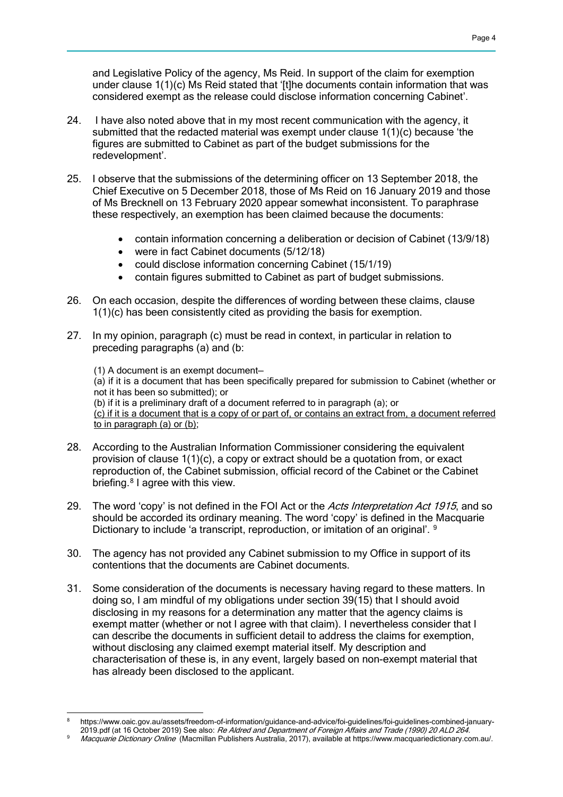and Legislative Policy of the agency, Ms Reid. In support of the claim for exemption under clause 1(1)(c) Ms Reid stated that '[t]he documents contain information that was considered exempt as the release could disclose information concerning Cabinet'.

- 24. I have also noted above that in my most recent communication with the agency, it submitted that the redacted material was exempt under clause 1(1)(c) because 'the figures are submitted to Cabinet as part of the budget submissions for the redevelopment'.
- 25. I observe that the submissions of the determining officer on 13 September 2018, the Chief Executive on 5 December 2018, those of Ms Reid on 16 January 2019 and those of Ms Brecknell on 13 February 2020 appear somewhat inconsistent. To paraphrase these respectively, an exemption has been claimed because the documents:
	- contain information concerning a deliberation or decision of Cabinet (13/9/18)
	- were in fact Cabinet documents (5/12/18)
	- could disclose information concerning Cabinet (15/1/19)
	- contain figures submitted to Cabinet as part of budget submissions.
- 26. On each occasion, despite the differences of wording between these claims, clause 1(1)(c) has been consistently cited as providing the basis for exemption.
- 27. In my opinion, paragraph (c) must be read in context, in particular in relation to preceding paragraphs (a) and (b:
	- (1) A document is an exempt document—

(a) if it is a document that has been specifically prepared for submission to Cabinet (whether or not it has been so submitted); or

(b) if it is a preliminary draft of a document referred to in paragraph (a); or

(c) if it is a document that is a copy of or part of, or contains an extract from, a document referred to in paragraph (a) or (b);

- 28. According to the Australian Information Commissioner considering the equivalent provision of clause 1(1)(c), a copy or extract should be a quotation from, or exact reproduction of, the Cabinet submission, official record of the Cabinet or the Cabinet briefing.[8](#page-3-0) I agree with this view.
- 29. The word 'copy' is not defined in the FOI Act or the Acts Interpretation Act 1915, and so should be accorded its ordinary meaning. The word 'copy' is defined in the Macquarie Dictionary to include 'a transcript, reproduction, or imitation of an original'. <sup>[9](#page-3-1)</sup>
- 30. The agency has not provided any Cabinet submission to my Office in support of its contentions that the documents are Cabinet documents.
- 31. Some consideration of the documents is necessary having regard to these matters. In doing so, I am mindful of my obligations under section 39(15) that I should avoid disclosing in my reasons for a determination any matter that the agency claims is exempt matter (whether or not I agree with that claim). I nevertheless consider that I can describe the documents in sufficient detail to address the claims for exemption, without disclosing any claimed exempt material itself. My description and characterisation of these is, in any event, largely based on non-exempt material that has already been disclosed to the applicant.

<span id="page-3-0"></span>https://www.oaic.gov.au/assets/freedom-of-information/guidance-and-advice/foi-guidelines/foi-guidelines-combined-january-2019.pdf (at 16 October 2019) See also: Re Aldred and Department of Foreign Affairs and Trade (1990) 20 ALD 264.

<span id="page-3-1"></span>Macquarie Dictionary Online (Macmillan Publishers Australia, 2017), available at https://www.macquariedictionary.com.au/.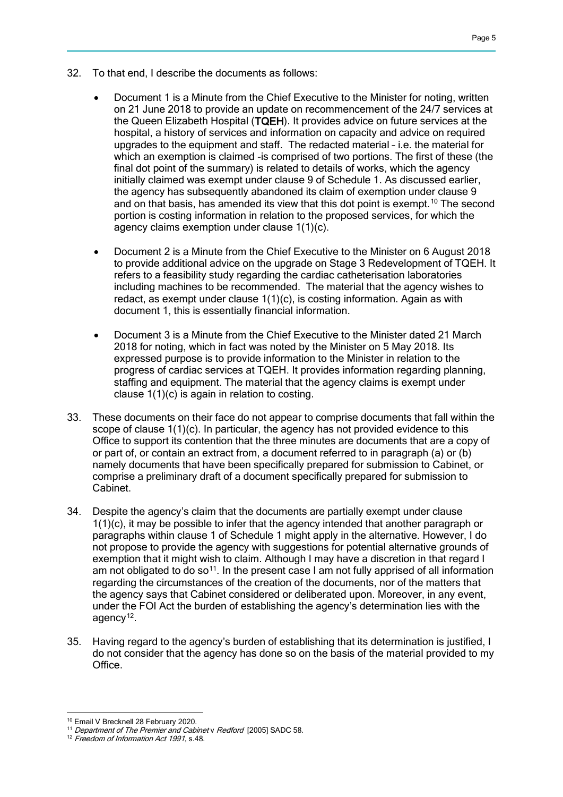- 32. To that end, I describe the documents as follows:
	- Document 1 is a Minute from the Chief Executive to the Minister for noting, written on 21 June 2018 to provide an update on recommencement of the 24/7 services at the Queen Elizabeth Hospital (TQEH). It provides advice on future services at the hospital, a history of services and information on capacity and advice on required upgrades to the equipment and staff. The redacted material – i.e. the material for which an exemption is claimed -is comprised of two portions. The first of these (the final dot point of the summary) is related to details of works, which the agency initially claimed was exempt under clause 9 of Schedule 1. As discussed earlier, the agency has subsequently abandoned its claim of exemption under clause 9 and on that basis, has amended its view that this dot point is exempt.<sup>[10](#page-4-0)</sup> The second portion is costing information in relation to the proposed services, for which the agency claims exemption under clause 1(1)(c).
	- Document 2 is a Minute from the Chief Executive to the Minister on 6 August 2018 to provide additional advice on the upgrade on Stage 3 Redevelopment of TQEH. It refers to a feasibility study regarding the cardiac catheterisation laboratories including machines to be recommended. The material that the agency wishes to redact, as exempt under clause 1(1)(c), is costing information. Again as with document 1, this is essentially financial information.
	- Document 3 is a Minute from the Chief Executive to the Minister dated 21 March 2018 for noting, which in fact was noted by the Minister on 5 May 2018. Its expressed purpose is to provide information to the Minister in relation to the progress of cardiac services at TQEH. It provides information regarding planning, staffing and equipment. The material that the agency claims is exempt under clause 1(1)(c) is again in relation to costing.
- 33. These documents on their face do not appear to comprise documents that fall within the scope of clause 1(1)(c). In particular, the agency has not provided evidence to this Office to support its contention that the three minutes are documents that are a copy of or part of, or contain an extract from, a document referred to in paragraph (a) or (b) namely documents that have been specifically prepared for submission to Cabinet, or comprise a preliminary draft of a document specifically prepared for submission to Cabinet.
- 34. Despite the agency's claim that the documents are partially exempt under clause 1(1)(c), it may be possible to infer that the agency intended that another paragraph or paragraphs within clause 1 of Schedule 1 might apply in the alternative. However, I do not propose to provide the agency with suggestions for potential alternative grounds of exemption that it might wish to claim. Although I may have a discretion in that regard I am not obligated to do so<sup>[11](#page-4-1)</sup>. In the present case I am not fully apprised of all information regarding the circumstances of the creation of the documents, nor of the matters that the agency says that Cabinet considered or deliberated upon. Moreover, in any event, under the FOI Act the burden of establishing the agency's determination lies with the agency $12$ .
- 35. Having regard to the agency's burden of establishing that its determination is justified, I do not consider that the agency has done so on the basis of the material provided to my Office.

<sup>-</sup><sup>10</sup> Email V Brecknell 28 February 2020.

<span id="page-4-1"></span><span id="page-4-0"></span><sup>&</sup>lt;sup>11</sup> Department of The Premier and Cabinet v Redford [2005] SADC 58.

<span id="page-4-2"></span><sup>&</sup>lt;sup>12</sup> Freedom of Information Act 1991, s.48.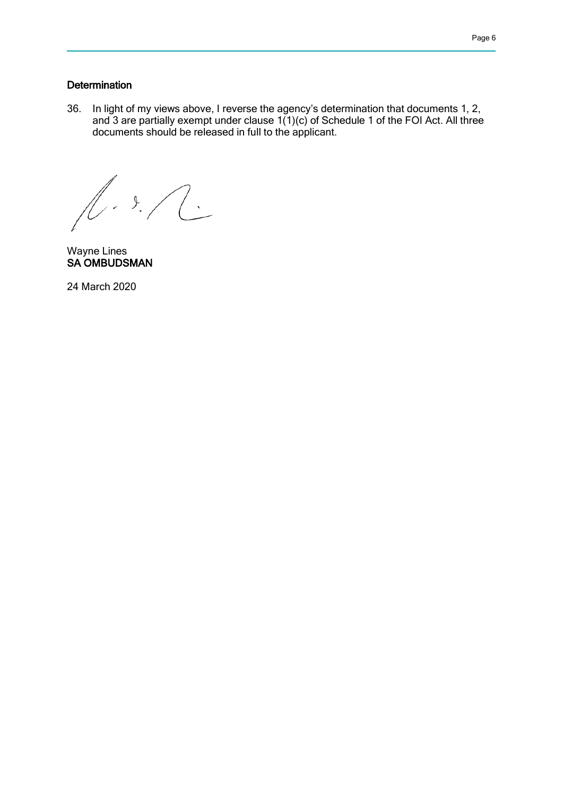## **Determination**

36. In light of my views above, I reverse the agency's determination that documents 1, 2, and 3 are partially exempt under clause  $1(1)(c)$  of Schedule 1 of the FOI Act. All three documents should be released in full to the applicant.

 $\mathbb{R}^2$  $1.3.7$ 

Wayne Lines SA OMBUDSMAN

24 March 2020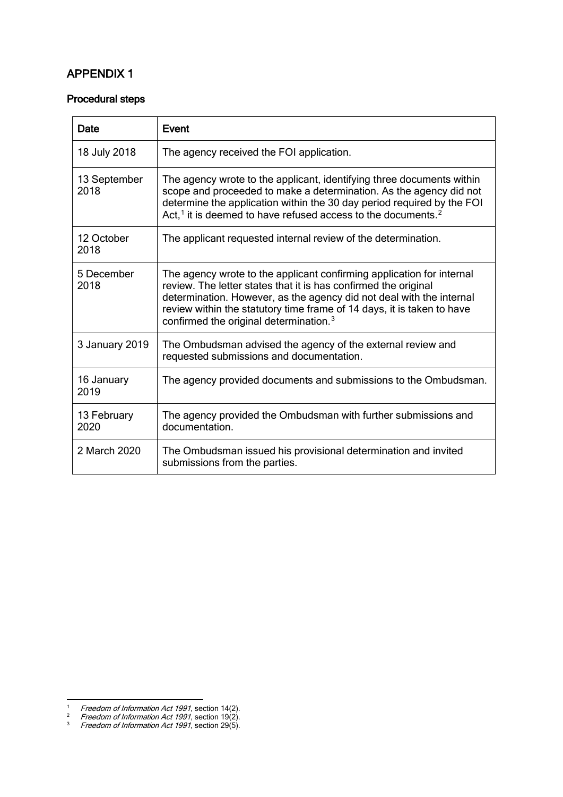## APPENDIX 1

#### Procedural steps

| Date                 | <b>Event</b>                                                                                                                                                                                                                                                                                                                                     |  |  |
|----------------------|--------------------------------------------------------------------------------------------------------------------------------------------------------------------------------------------------------------------------------------------------------------------------------------------------------------------------------------------------|--|--|
| 18 July 2018         | The agency received the FOI application.                                                                                                                                                                                                                                                                                                         |  |  |
| 13 September<br>2018 | The agency wrote to the applicant, identifying three documents within<br>scope and proceeded to make a determination. As the agency did not<br>determine the application within the 30 day period required by the FOI<br>Act, $1$ it is deemed to have refused access to the documents. <sup>2</sup>                                             |  |  |
| 12 October<br>2018   | The applicant requested internal review of the determination.                                                                                                                                                                                                                                                                                    |  |  |
| 5 December<br>2018   | The agency wrote to the applicant confirming application for internal<br>review. The letter states that it is has confirmed the original<br>determination. However, as the agency did not deal with the internal<br>review within the statutory time frame of 14 days, it is taken to have<br>confirmed the original determination. <sup>3</sup> |  |  |
| 3 January 2019       | The Ombudsman advised the agency of the external review and<br>requested submissions and documentation.                                                                                                                                                                                                                                          |  |  |
| 16 January<br>2019   | The agency provided documents and submissions to the Ombudsman.                                                                                                                                                                                                                                                                                  |  |  |
| 13 February<br>2020  | The agency provided the Ombudsman with further submissions and<br>documentation.                                                                                                                                                                                                                                                                 |  |  |
| 2 March 2020         | The Ombudsman issued his provisional determination and invited<br>submissions from the parties.                                                                                                                                                                                                                                                  |  |  |

 $\overline{a}$ 

<span id="page-6-1"></span><span id="page-6-0"></span><sup>&</sup>lt;sup>1</sup> Freedom of Information Act 1991, section 14(2).

<span id="page-6-2"></span><sup>&</sup>lt;sup>2</sup> Freedom of Information Act 1991, section 19(2).

 $3$  Freedom of Information Act 1991, section 29(5).